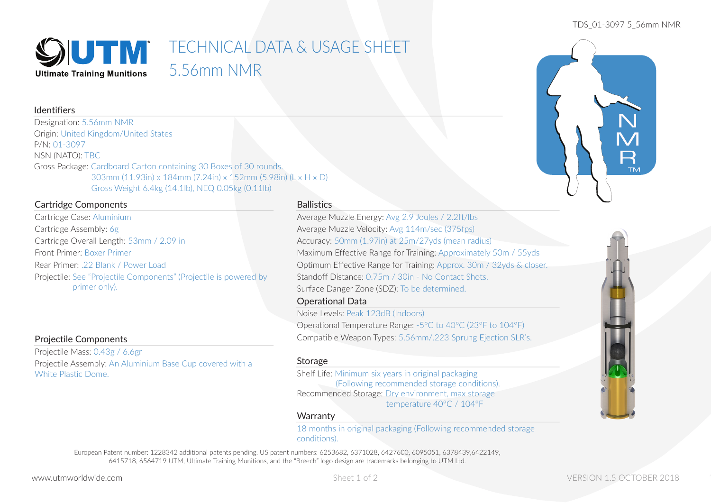#### TDS\_01-3097 5\_56mm NMR



# **SIUTIV** TECHNICAL DATA & USAGE SHEET 5.56mm NMR

# Identifiers

Designation: 5.56mm NMR Origin: United Kingdom/United States P/N: 01-3097 NSN (NATO): TBC Gross Package: Cardboard Carton containing 30 Boxes of 30 rounds. 303mm (11.93in) x 184mm (7.24in) x 152mm (5.98in) (L x H x D) Gross Weight 6.4kg (14.1lb), NEQ 0.05kg (0.11lb)

# Cartridge Components

Cartridge Case: Aluminium Cartridge Assembly: 6g Cartridge Overall Length: 53mm / 2.09 in Front Primer: Boxer Primer Rear Primer: .22 Blank / Power Load Projectile: See "Projectile Components" (Projectile is powered by primer only).

# Projectile Components

Projectile Mass: 0.43g / 6.6gr Projectile Assembly: An Aluminium Base Cup covered with a White Plastic Dome.

### **Ballistics**

Average Muzzle Energy: Avg 2.9 Joules / 2.2ft/lbs Average Muzzle Velocity: Avg 114m/sec (375fps) Accuracy: 50mm (1.97in) at 25m/27yds (mean radius) Maximum Effective Range for Training: Approximately 50m / 55yds Optimum Effective Range for Training: Approx. 30m / 32yds & closer. Standoff Distance: 0.75m / 30in - No Contact Shots. Surface Danger Zone (SDZ): To be determined.

# Operational Data

Noise Levels: Peak 123dB (Indoors) Operational Temperature Range: -5°C to 40°C (23°F to 104°F) Compatible Weapon Types: 5.56mm/.223 Sprung Ejection SLR's.

#### Storage

Shelf Life: Minimum six years in original packaging (Following recommended storage conditions). Recommended Storage: Dry environment, max storage temperature 40°C / 104°F

### **Warranty**

18 months in original packaging (Following recommended storage conditions).

European Patent number: 1228342 additional patents pending. US patent numbers: 6253682, 6371028, 6427600, 6095051, 6378439,6422149, 6415718, 6564719 UTM, Ultimate Training Munitions, and the "Breech" logo design are trademarks belonging to UTM Ltd.